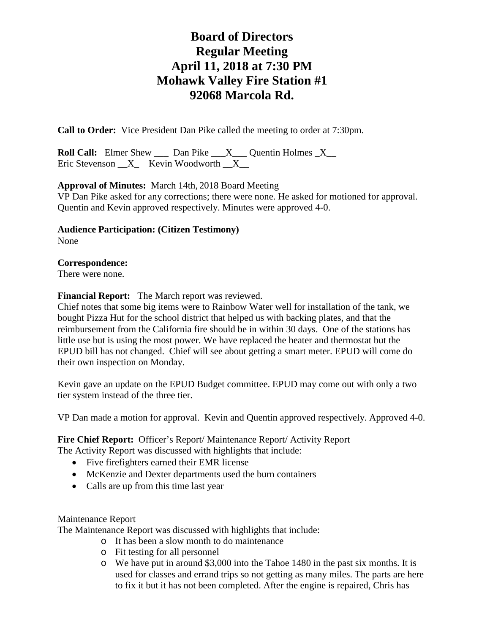# **Board of Directors Regular Meeting April 11, 2018 at 7:30 PM Mohawk Valley Fire Station #1 92068 Marcola Rd.**

**Call to Order:** Vice President Dan Pike called the meeting to order at 7:30pm.

**Roll Call:** Elmer Shew \_\_\_ Dan Pike \_\_\_X\_\_\_ Quentin Holmes \_X\_\_ Eric Stevenson  $X$  Kevin Woodworth  $X$ 

**Approval of Minutes:** March 14th, 2018 Board Meeting VP Dan Pike asked for any corrections; there were none. He asked for motioned for approval. Quentin and Kevin approved respectively. Minutes were approved 4-0.

**Audience Participation: (Citizen Testimony)** None

# **Correspondence:**

There were none.

**Financial Report:** The March report was reviewed.

Chief notes that some big items were to Rainbow Water well for installation of the tank, we bought Pizza Hut for the school district that helped us with backing plates, and that the reimbursement from the California fire should be in within 30 days. One of the stations has little use but is using the most power. We have replaced the heater and thermostat but the EPUD bill has not changed. Chief will see about getting a smart meter. EPUD will come do their own inspection on Monday.

Kevin gave an update on the EPUD Budget committee. EPUD may come out with only a two tier system instead of the three tier.

VP Dan made a motion for approval. Kevin and Quentin approved respectively. Approved 4-0.

## Fire Chief Report: Officer's Report/ Maintenance Report/ Activity Report

The Activity Report was discussed with highlights that include:

- Five firefighters earned their EMR license
- McKenzie and Dexter departments used the burn containers
- Calls are up from this time last year

#### Maintenance Report

The Maintenance Report was discussed with highlights that include:

- o It has been a slow month to do maintenance
- o Fit testing for all personnel
- o We have put in around \$3,000 into the Tahoe 1480 in the past six months. It is used for classes and errand trips so not getting as many miles. The parts are here to fix it but it has not been completed. After the engine is repaired, Chris has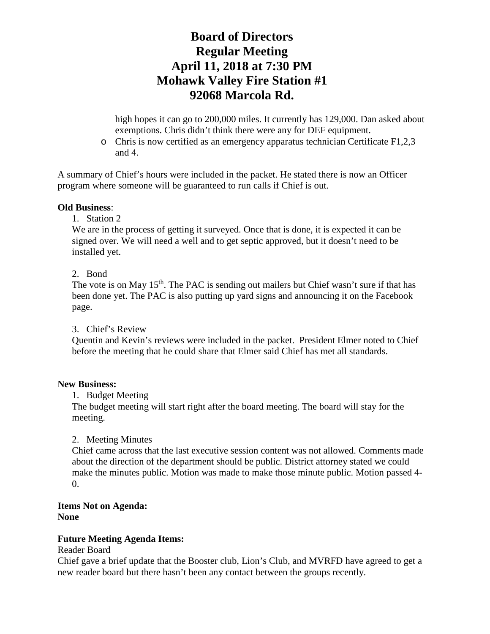# **Board of Directors Regular Meeting April 11, 2018 at 7:30 PM Mohawk Valley Fire Station #1 92068 Marcola Rd.**

high hopes it can go to 200,000 miles. It currently has 129,000. Dan asked about exemptions. Chris didn't think there were any for DEF equipment.

o Chris is now certified as an emergency apparatus technician Certificate F1,2,3 and 4.

A summary of Chief's hours were included in the packet. He stated there is now an Officer program where someone will be guaranteed to run calls if Chief is out.

## **Old Business**:

1. Station 2

We are in the process of getting it surveyed. Once that is done, it is expected it can be signed over. We will need a well and to get septic approved, but it doesn't need to be installed yet.

#### 2. Bond

The vote is on May 15<sup>th</sup>. The PAC is sending out mailers but Chief wasn't sure if that has been done yet. The PAC is also putting up yard signs and announcing it on the Facebook page.

#### 3. Chief's Review

Quentin and Kevin's reviews were included in the packet. President Elmer noted to Chief before the meeting that he could share that Elmer said Chief has met all standards.

#### **New Business:**

1. Budget Meeting

The budget meeting will start right after the board meeting. The board will stay for the meeting.

## 2. Meeting Minutes

Chief came across that the last executive session content was not allowed. Comments made about the direction of the department should be public. District attorney stated we could make the minutes public. Motion was made to make those minute public. Motion passed 4- 0.

#### **Items Not on Agenda: None**

## **Future Meeting Agenda Items:**

#### Reader Board

Chief gave a brief update that the Booster club, Lion's Club, and MVRFD have agreed to get a new reader board but there hasn't been any contact between the groups recently.